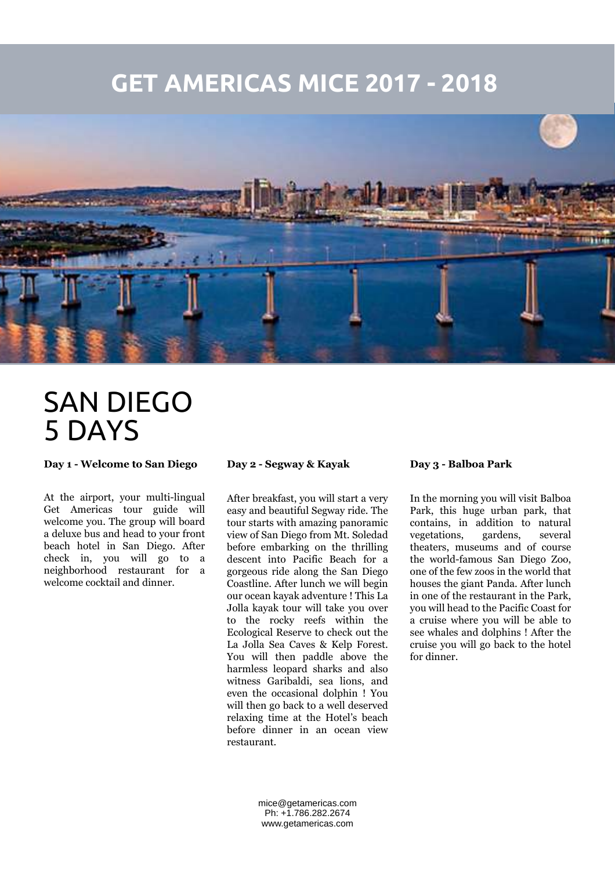## **GET AMERICAS MICE 2017 - 2018**



# SAN DIEGO 5 DAYS

**Day 1 - Welcome to San Diego**

At the airport, your multi-lingual Get Americas tour guide will welcome you. The group will board a deluxe bus and head to your front beach hotel in San Diego. After check in, you will go to a neighborhood restaurant for a welcome cocktail and dinner.

**Day 2 - Segway & Kayak**

After breakfast, you will start a very easy and beautiful Segway ride. The tour starts with amazing panoramic view of San Diego from Mt. Soledad before embarking on the thrilling descent into Pacific Beach for a gorgeous ride along the San Diego Coastline. After lunch we will begin our ocean kayak adventure ! This La Jolla kayak tour will take you over to the rocky reefs within the Ecological Reserve to check out the La Jolla Sea Caves & Kelp Forest. You will then paddle above the harmless leopard sharks and also witness Garibaldi, sea lions, and even the occasional dolphin ! You will then go back to a well deserved relaxing time at the Hotel's beach before dinner in an ocean view restaurant.

### **Day 3 - Balboa Park**

In the morning you will visit Balboa Park, this huge urban park, that contains, in addition to natural vegetations, gardens, several theaters, museums and of course the world-famous San Diego Zoo, one of the few zoos in the world that houses the giant Panda. After lunch in one of the restaurant in the Park, you will head to the Pacific Coast for a cruise where you will be able to see whales and dolphins ! After the cruise you will go back to the hotel for dinner.